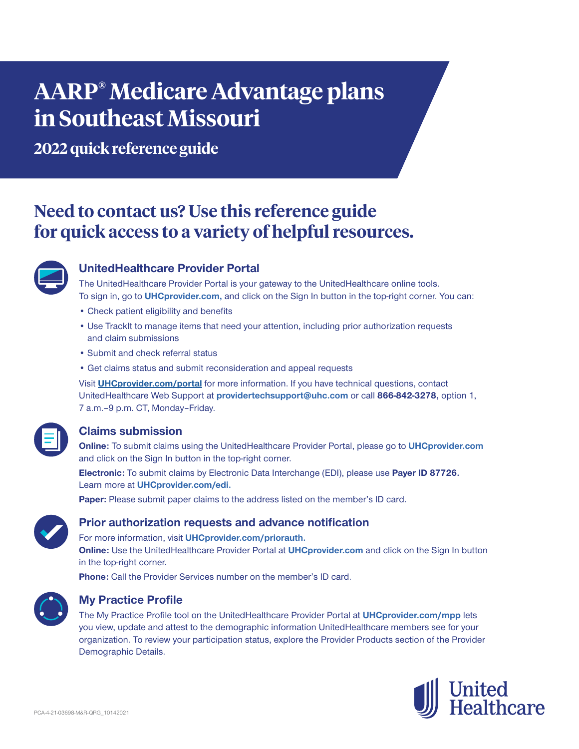# **AARP® Medicare Advantage plans in Southeast Missouri**

**2022 quick reference guide**

# **Need to contact us? Use this reference guide for quick access to a variety of helpful resources.**



# **UnitedHealthcare Provider Portal**

The UnitedHealthcare Provider Portal is your gateway to the UnitedHealthcare online tools. To sign in, go to **UHCprovider.com,** and click on the Sign In button in the top-right corner. You can:

- Check patient eligibility and benefits
- Use TrackIt to manage items that need your attention, including prior authorization requests and claim submissions
- Submit and check referral status
- Get claims status and submit reconsideration and appeal requests

Visit **UHCprovider.com/portal** for more information. If you have technical questions, contact UnitedHealthcare Web Support at **providertechsupport@uhc.com** or call **866-842-3278,** option 1, 7 a.m. - 9 p.m. CT, Monday - Friday.

# **Claims submission**

**Online:** To submit claims using the UnitedHealthcare Provider Portal, please go to **UHCprovider.com** and click on the Sign In button in the top-right corner.

**Electronic:** To submit claims by Electronic Data Interchange (EDI), please use **Payer ID 87726.** Learn more at **UHCprovider.com/edi.**

**Paper:** Please submit paper claims to the address listed on the member's ID card.



# **Prior authorization requests and advance notification**

For more information, visit **UHCprovider.com/priorauth. Online:** Use the UnitedHealthcare Provider Portal at **UHCprovider.com** and click on the Sign In button in the top-right corner.

**Phone:** Call the Provider Services number on the member's ID card.



# **My Practice Profile**

The My Practice Profile tool on the UnitedHealthcare Provider Portal at **UHCprovider.com/mpp** lets you view, update and attest to the demographic information UnitedHealthcare members see for your organization. To review your participation status, explore the Provider Products section of the Provider Demographic Details.

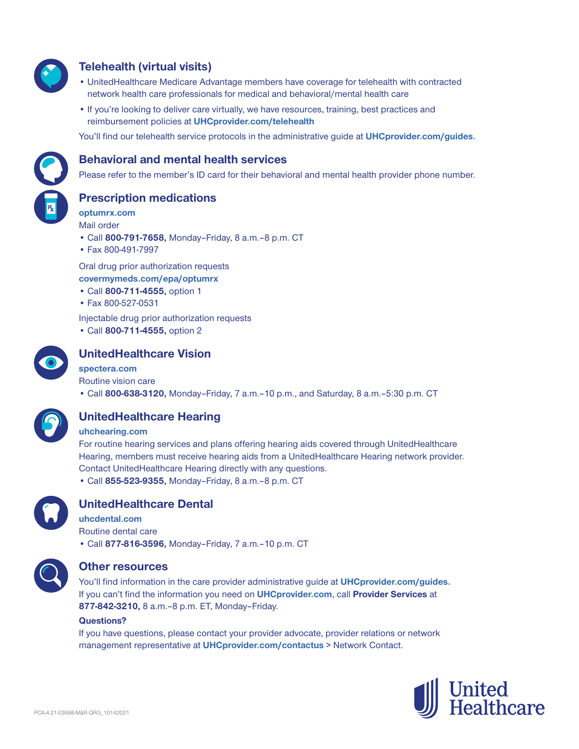

# **Telehealth (virtual visits)**

- UnitedHealthcare Medicare Advantage members have coverage for telehealth with contracted network health care professionals for medical and behavioral/mental health care
- If you're looking to deliver care virtually, we have resources, training, best practices and reimbursement policies at **UHCprovider.com/telehealth**

You'll find our telehealth service protocols in the administrative guide at **UHCprovider.com/guides.**



## **Behavioral and mental health services**

Please refer to the member's ID card for their behavioral and mental health provider phone number.

**Prescription medications**

**optumrx.com** Mail order

- Call **800-791-7658,** Monday–Friday, 8 a.m.‒8 p.m. CT
- Fax 800-491-7997

Oral drug prior authorization requests **covermymeds.com/epa/optumrx**

- Call **800-711-4555,** option 1
- Fax 800-527-0531

Injectable drug prior authorization requests

• Call **800-711-4555,** option 2



# **UnitedHealthcare Vision**

#### **spectera.com**

Routine vision care

• Call **800-638-3120,** Monday–Friday, 7 a.m.–10 p.m., and Saturday, 8 a.m.–5:30 p.m. CT



# **UnitedHealthcare Hearing**

#### **uhchearing.com**

For routine hearing services and plans offering hearing aids covered through UnitedHealthcare Hearing, members must receive hearing aids from a UnitedHealthcare Hearing network provider. Contact UnitedHealthcare Hearing directly with any questions. • Call **855-523-9355,** Monday–Friday, 8 a.m.–8 p.m. CT



# **UnitedHealthcare Dental**

**uhcdental.com** Routine dental care • Call **877-816-3596,** Monday–Friday, 7 a.m.–10 p.m. CT



### **Other resources**

You'll find information in the care provider administrative guide at **UHCprovider.com/guides.** If you can't find the information you need on **UHCprovider.com**, call **Provider Services** at **877-842-3210,** 8 a.m.–8 p.m. ET, Monday–Friday.

#### **Questions?**

If you have questions, please contact your provider advocate, provider relations or network management representative at **UHCprovider.com/contactus** > Network Contact.

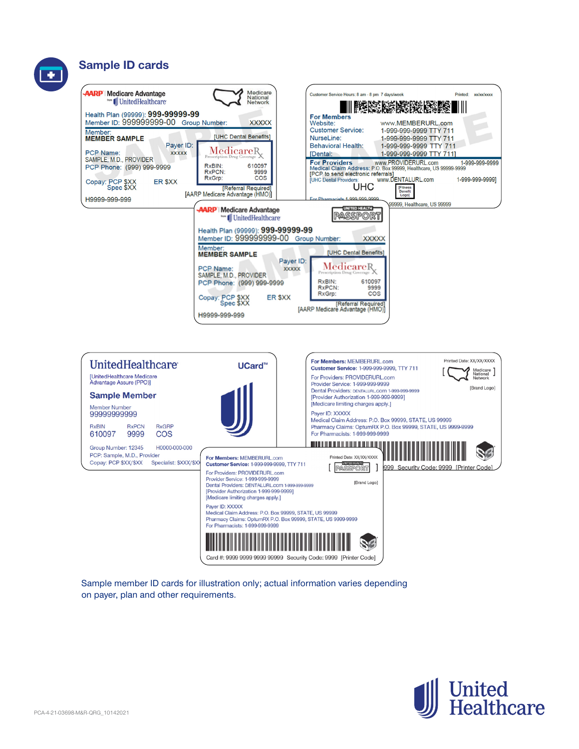# **Sample ID cards**





Sample member ID cards for illustration only; actual information varies depending on payer, plan and other requirements.